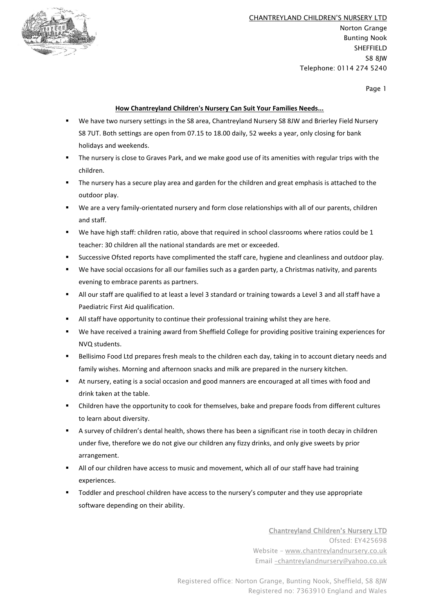

CHANTREYLAND CHILDREN'S NURSERY LTD Norton Grange Bunting Nook SHEFFIELD S8 8JW Telephone: 0114 274 5240

Page 1

#### **How Chantreyland Children's Nursery Can Suit Your Families Needs...**

- We have two nursery settings in the S8 area, Chantreyland Nursery S8 8JW and Brierley Field Nursery S8 7UT. Both settings are open from 07.15 to 18.00 daily, 52 weeks a year, only closing for bank holidays and weekends.
- The nursery is close to Graves Park, and we make good use of its amenities with regular trips with the children.
- The nursery has a secure play area and garden for the children and great emphasis is attached to the outdoor play.
- We are a very family-orientated nursery and form close relationships with all of our parents, children and staff.
- We have high staff: children ratio, above that required in school classrooms where ratios could be 1 teacher: 30 children all the national standards are met or exceeded.
- Successive Ofsted reports have complimented the staff care, hygiene and cleanliness and outdoor play.
- We have social occasions for all our families such as a garden party, a Christmas nativity, and parents evening to embrace parents as partners.
- All our staff are qualified to at least a level 3 standard or training towards a Level 3 and all staff have a Paediatric First Aid qualification.
- All staff have opportunity to continue their professional training whilst they are here.
- We have received a training award from Sheffield College for providing positive training experiences for NVQ students.
- Bellisimo Food Ltd prepares fresh meals to the children each day, taking in to account dietary needs and family wishes. Morning and afternoon snacks and milk are prepared in the nursery kitchen.
- At nursery, eating is a social occasion and good manners are encouraged at all times with food and drink taken at the table.
- Children have the opportunity to cook for themselves, bake and prepare foods from different cultures to learn about diversity.
- A survey of children's dental health, shows there has been a significant rise in tooth decay in children under five, therefore we do not give our children any fizzy drinks, and only give sweets by prior arrangement.
- All of our children have access to music and movement, which all of our staff have had training experiences.
- Toddler and preschool children have access to the nursery's computer and they use appropriate software depending on their ability.

Chantreyland Children's Nursery LTD Ofsted: EY425698 Website – [www.chantreylandnursery.co.uk](http://www.chantreylandnursery.co.uk/) Email –[chantreylandnursery@yahoo.co.uk](mailto:–chantreylandnursery@yahoo.co.uk)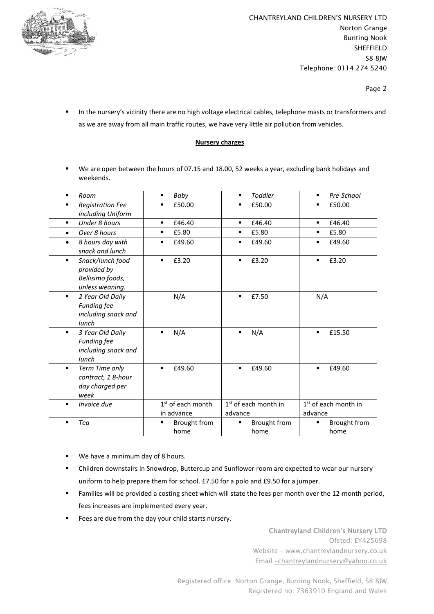

Page 2

**■** In the nursery's vicinity there are no high voltage electrical cables, telephone masts or transformers and as we are away from all main traffic routes, we have very little air pollution from vehicles.

#### **Nursery charges**

▪ We are open between the hours of 07.15 and 18.00, 52 weeks a year, excluding bank holidays and weekends.

| ٠         | Room                                                                   | ٠          | Baby                 | ٠              | Toddler                          | ٠              | Pre-School                       |
|-----------|------------------------------------------------------------------------|------------|----------------------|----------------|----------------------------------|----------------|----------------------------------|
| ٠         | <b>Registration Fee</b><br>including Uniform                           |            | £50.00               | ٠              | £50.00                           | ٠              | £50.00                           |
| ٠         | <b>Under 8 hours</b>                                                   | ٠          | £46.40               | $\blacksquare$ | £46.40                           | ٠              | £46.40                           |
| $\bullet$ | Over 8 hours                                                           | ٠          | £5.80                | ٠              | £5.80                            | ٠              | £5.80                            |
| ٠         | 8 hours day with<br>snack and lunch                                    |            | £49.60               | ٠              | £49.60                           | ٠              | £49.60                           |
| ٠         | Snack/lunch food<br>provided by<br>Bellisimo foods,<br>unless weaning. |            | £3.20                | ٠              | £3.20                            | $\blacksquare$ | £3.20                            |
| ٠         | 2 Year Old Daily<br><b>Funding fee</b><br>including snack and<br>lunch |            | N/A                  | ٠              | £7.50                            | N/A            |                                  |
| ٠         | 3 Year Old Daily<br><b>Funding fee</b><br>including snack and<br>lunch |            | N/A                  | ٠              | N/A                              | $\blacksquare$ | £15.50                           |
| ٠         | Term Time only<br>contract, 18-hour<br>day charged per<br>week         | ٠          | £49.60               | ٠              | £49.60                           | ٠              | £49.60                           |
| ٠         | Invoice due                                                            |            | $1st$ of each month  |                | 1 <sup>st</sup> of each month in |                | 1 <sup>st</sup> of each month in |
|           |                                                                        | in advance |                      | advance        |                                  | advance        |                                  |
| ٠         | Tea                                                                    | ٠          | Brought from<br>home | ٠              | Brought from<br>home             | ٠              | <b>Brought from</b><br>home      |

- We have a minimum day of 8 hours.
- Children downstairs in Snowdrop, Buttercup and Sunflower room are expected to wear our nursery uniform to help prepare them for school. £7.50 for a polo and £9.50 for a jumper.
- Families will be provided a costing sheet which will state the fees per month over the 12-month period, fees increases are implemented every year.
- Fees are due from the day your child starts nursery.

Chantreyland Children's Nursery LTD Ofsted: EY425698 Website – [www.chantreylandnursery.co.uk](http://www.chantreylandnursery.co.uk/) Email –[chantreylandnursery@yahoo.co.uk](mailto:–chantreylandnursery@yahoo.co.uk)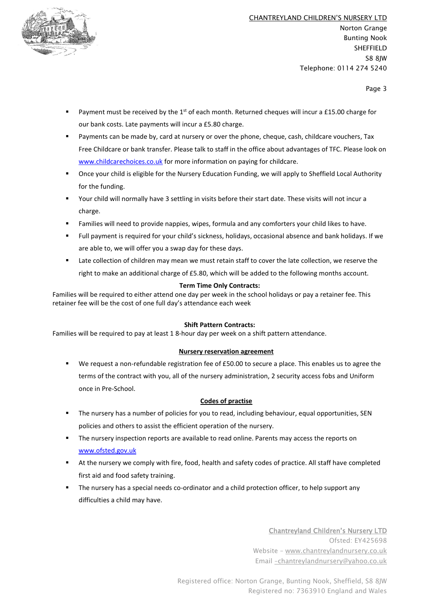

Page 3

- **•** Payment must be received by the 1<sup>st</sup> of each month. Returned cheques will incur a £15.00 charge for our bank costs. Late payments will incur a £5.80 charge.
- Payments can be made by, card at nursery or over the phone, cheque, cash, childcare vouchers, Tax Free Childcare or bank transfer. Please talk to staff in the office about advantages of TFC. Please look on [www.childcarechoices.co.uk](http://www.childcarechoices.co.uk/) for more information on paying for childcare.
- Once your child is eligible for the Nursery Education Funding, we will apply to Sheffield Local Authority for the funding.
- Your child will normally have 3 settling in visits before their start date. These visits will not incur a charge.
- Families will need to provide nappies, wipes, formula and any comforters your child likes to have.
- Full payment is required for your child's sickness, holidays, occasional absence and bank holidays. If we are able to, we will offer you a swap day for these days.
- Late collection of children may mean we must retain staff to cover the late collection, we reserve the right to make an additional charge of £5.80, which will be added to the following months account.

# **Term Time Only Contracts:**

Families will be required to either attend one day per week in the school holidays or pay a retainer fee. This retainer fee will be the cost of one full day's attendance each week

# **Shift Pattern Contracts:**

Families will be required to pay at least 1 8-hour day per week on a shift pattern attendance.

# **Nursery reservation agreement**

We request a non-refundable registration fee of £50.00 to secure a place. This enables us to agree the terms of the contract with you, all of the nursery administration, 2 security access fobs and Uniform once in Pre-School.

# **Codes of practise**

- The nursery has a number of policies for you to read, including behaviour, equal opportunities, SEN policies and others to assist the efficient operation of the nursery.
- The nursery inspection reports are available to read online. Parents may access the reports on [www.ofsted.gov.uk](http://www.ofsted.gov.uk/)
- At the nursery we comply with fire, food, health and safety codes of practice. All staff have completed first aid and food safety training.
- The nursery has a special needs co-ordinator and a child protection officer, to help support any difficulties a child may have.

Chantreyland Children's Nursery LTD Ofsted: EY425698 Website – [www.chantreylandnursery.co.uk](http://www.chantreylandnursery.co.uk/) Email –[chantreylandnursery@yahoo.co.uk](mailto:–chantreylandnursery@yahoo.co.uk)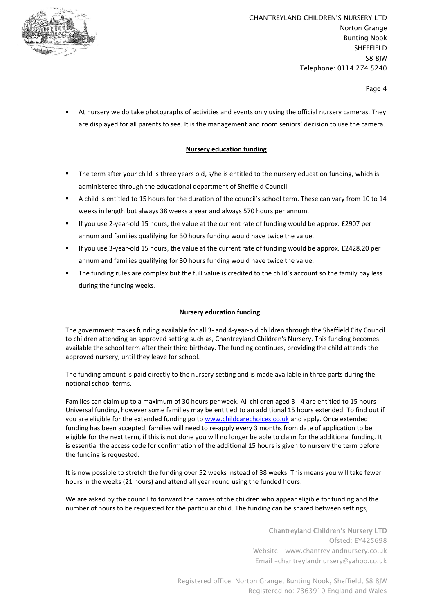

Page 4

At nursery we do take photographs of activities and events only using the official nursery cameras. They are displayed for all parents to see. It is the management and room seniors' decision to use the camera.

# **Nursery education funding**

- The term after your child is three years old, s/he is entitled to the nursery education funding, which is administered through the educational department of Sheffield Council.
- A child is entitled to 15 hours for the duration of the council's school term. These can vary from 10 to 14 weeks in length but always 38 weeks a year and always 570 hours per annum.
- If you use 2-year-old 15 hours, the value at the current rate of funding would be approx. £2907 per annum and families qualifying for 30 hours funding would have twice the value.
- If you use 3-year-old 15 hours, the value at the current rate of funding would be approx. £2428.20 per annum and families qualifying for 30 hours funding would have twice the value.
- The funding rules are complex but the full value is credited to the child's account so the family pay less during the funding weeks.

# **Nursery education funding**

The government makes funding available for all 3- and 4-year-old children through the Sheffield City Council to children attending an approved setting such as, Chantreyland Children's Nursery. This funding becomes available the school term after their third birthday. The funding continues, providing the child attends the approved nursery, until they leave for school.

The funding amount is paid directly to the nursery setting and is made available in three parts during the notional school terms.

Families can claim up to a maximum of 30 hours per week. All children aged 3 - 4 are entitled to 15 hours Universal funding, however some families may be entitled to an additional 15 hours extended. To find out if you are eligible for the extended funding go to [www.childcarechoices.co.uk](http://www.childcarechoices.co.uk/) and apply. Once extended funding has been accepted, families will need to re-apply every 3 months from date of application to be eligible for the next term, if this is not done you will no longer be able to claim for the additional funding. It is essential the access code for confirmation of the additional 15 hours is given to nursery the term before the funding is requested.

It is now possible to stretch the funding over 52 weeks instead of 38 weeks. This means you will take fewer hours in the weeks (21 hours) and attend all year round using the funded hours.

We are asked by the council to forward the names of the children who appear eligible for funding and the number of hours to be requested for the particular child. The funding can be shared between settings,

> Chantreyland Children's Nursery LTD Ofsted: EY425698 Website – [www.chantreylandnursery.co.uk](http://www.chantreylandnursery.co.uk/) Email –[chantreylandnursery@yahoo.co.uk](mailto:–chantreylandnursery@yahoo.co.uk)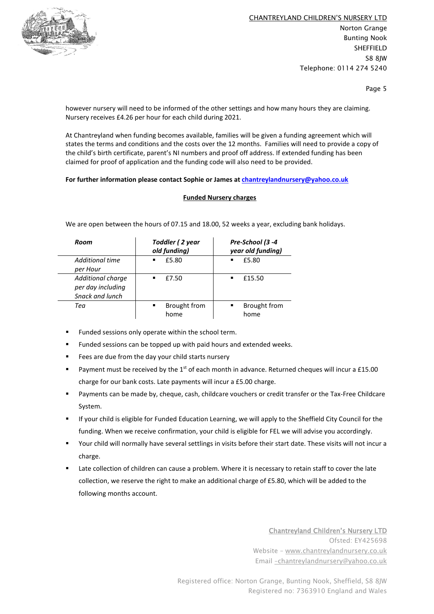

CHANTREYLAND CHILDREN'S NURSERY LTD Norton Grange Bunting Nook SHEFFIELD S8 8JW Telephone: 0114 274 5240

Page 5

however nursery will need to be informed of the other settings and how many hours they are claiming. Nursery receives £4.26 per hour for each child during 2021.

At Chantreyland when funding becomes available, families will be given a funding agreement which will states the terms and conditions and the costs over the 12 months. Families will need to provide a copy of the child's birth certificate, parent's NI numbers and proof off address. If extended funding has been claimed for proof of application and the funding code will also need to be provided.

#### **For further information please contact Sophie or James at [chantreylandnursery@yahoo.co.uk](mailto:chantreylandnursery@yahoo.co.uk)**

# **Funded Nursery charges**

We are open between the hours of 07.15 and 18.00, 52 weeks a year, excluding bank holidays.

| Room                                                      | Toddler (2 year<br>old funding) | Pre-School (3 -4<br>year old funding) |  |  |
|-----------------------------------------------------------|---------------------------------|---------------------------------------|--|--|
| Additional time<br>per Hour                               | £5.80<br>٠                      | £5.80<br>п                            |  |  |
| Additional charge<br>per day including<br>Snack and lunch | £7.50<br>٠                      | £15.50                                |  |  |
| Tea                                                       | Brought from<br>٠<br>home       | Brought from<br>٠<br>home             |  |  |

- Funded sessions only operate within the school term.
- Funded sessions can be topped up with paid hours and extended weeks.
- Fees are due from the day your child starts nursery
- **•** Payment must be received by the 1<sup>st</sup> of each month in advance. Returned cheques will incur a £15.00 charge for our bank costs. Late payments will incur a £5.00 charge.
- Payments can be made by, cheque, cash, childcare vouchers or credit transfer or the Tax-Free Childcare System.
- If your child is eligible for Funded Education Learning, we will apply to the Sheffield City Council for the funding. When we receive confirmation, your child is eligible for FEL we will advise you accordingly.
- Your child will normally have several settlings in visits before their start date. These visits will not incur a charge.
- Late collection of children can cause a problem. Where it is necessary to retain staff to cover the late collection, we reserve the right to make an additional charge of £5.80, which will be added to the following months account.

Chantreyland Children's Nursery LTD Ofsted: EY425698 Website – [www.chantreylandnursery.co.uk](http://www.chantreylandnursery.co.uk/) Email –[chantreylandnursery@yahoo.co.uk](mailto:–chantreylandnursery@yahoo.co.uk)